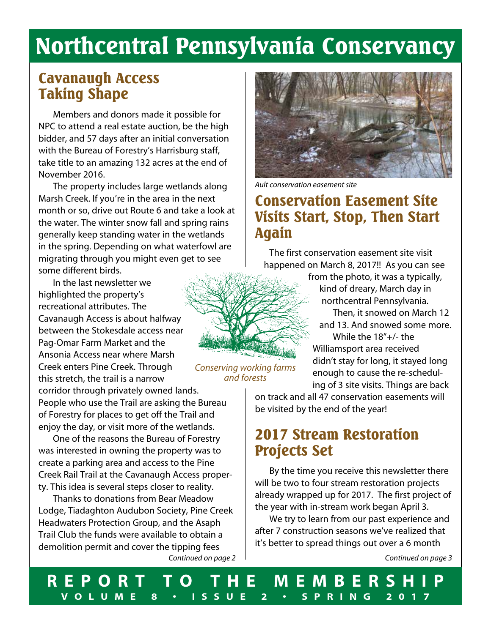# Northcentral Pennsylvania Conservancy

### Cavanaugh Access Taking Shape

Members and donors made it possible for NPC to attend a real estate auction, be the high bidder, and 57 days after an initial conversation with the Bureau of Forestry's Harrisburg staff, take title to an amazing 132 acres at the end of November 2016.

The property includes large wetlands along Marsh Creek. If you're in the area in the next month or so, drive out Route 6 and take a look at the water. The winter snow fall and spring rains generally keep standing water in the wetlands in the spring. Depending on what waterfowl are migrating through you might even get to see some different birds.

In the last newsletter we highlighted the property's recreational attributes. The Cavanaugh Access is about halfway between the Stokesdale access near Pag-Omar Farm Market and the Ansonia Access near where Marsh Creek enters Pine Creek. Through this stretch, the trail is a narrow corridor through privately owned lands.

People who use the Trail are asking the Bureau of Forestry for places to get off the Trail and enjoy the day, or visit more of the wetlands.

One of the reasons the Bureau of Forestry was interested in owning the property was to create a parking area and access to the Pine Creek Rail Trail at the Cavanaugh Access property. This idea is several steps closer to reality.

Thanks to donations from Bear Meadow Lodge, Tiadaghton Audubon Society, Pine Creek Headwaters Protection Group, and the Asaph Trail Club the funds were available to obtain a demolition permit and cover the tipping fees



*Ault conservation easement site*

### Conservation Easement Site Visits Start, Stop, Then Start Again

The first conservation easement site visit happened on March 8, 2017!! As you can see

> from the photo, it was a typically, kind of dreary, March day in northcentral Pennsylvania.

 Then, it snowed on March 12 and 13. And snowed some more. While the 18"+/- the Williamsport area received didn't stay for long, it stayed long

 enough to cause the re-schedul ing of 3 site visits. Things are back

*Conserving working farms and forests*

> on track and all 47 conservation easements will be visited by the end of the year!

### 2017 Stream Restoration Projects Set

By the time you receive this newsletter there will be two to four stream restoration projects already wrapped up for 2017. The first project of the year with in-stream work began April 3.

We try to learn from our past experience and after 7 construction seasons we've realized that it's better to spread things out over a 6 month

*Continued on page 2 Continued on page 3*

**REPORT TO THE MEMBERSHIP VOLUME 8 • ISSUE 2 • SPRING 2017**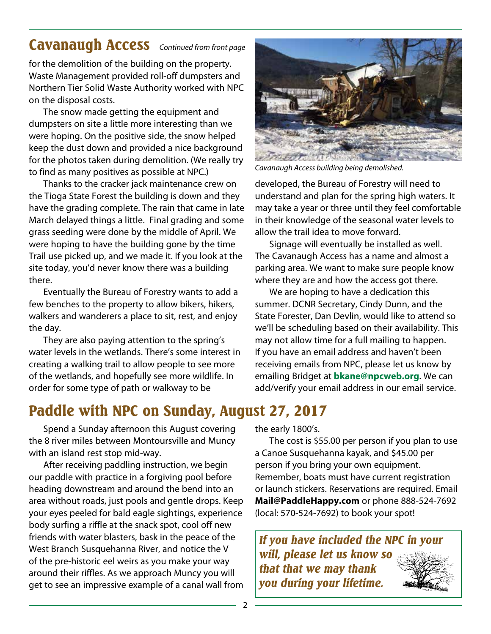### Cavanaugh Access *Continued from front page*

for the demolition of the building on the property. Waste Management provided roll-off dumpsters and Northern Tier Solid Waste Authority worked with NPC on the disposal costs.

The snow made getting the equipment and dumpsters on site a little more interesting than we were hoping. On the positive side, the snow helped keep the dust down and provided a nice background for the photos taken during demolition. (We really try to find as many positives as possible at NPC.)

Thanks to the cracker jack maintenance crew on the Tioga State Forest the building is down and they have the grading complete. The rain that came in late March delayed things a little. Final grading and some grass seeding were done by the middle of April. We were hoping to have the building gone by the time Trail use picked up, and we made it. If you look at the site today, you'd never know there was a building there.

Eventually the Bureau of Forestry wants to add a few benches to the property to allow bikers, hikers, walkers and wanderers a place to sit, rest, and enjoy the day.

They are also paying attention to the spring's water levels in the wetlands. There's some interest in creating a walking trail to allow people to see more of the wetlands, and hopefully see more wildlife. In order for some type of path or walkway to be

# Paddle with NPC on Sunday, August 27, 2017

Spend a Sunday afternoon this August covering the 8 river miles between Montoursville and Muncy with an island rest stop mid-way.

After receiving paddling instruction, we begin our paddle with practice in a forgiving pool before heading downstream and around the bend into an area without roads, just pools and gentle drops. Keep your eyes peeled for bald eagle sightings, experience body surfing a riffle at the snack spot, cool off new friends with water blasters, bask in the peace of the West Branch Susquehanna River, and notice the V of the pre-historic eel weirs as you make your way around their riffles. As we approach Muncy you will get to see an impressive example of a canal wall from



*Cavanaugh Access building being demolished.*

developed, the Bureau of Forestry will need to understand and plan for the spring high waters. It may take a year or three until they feel comfortable in their knowledge of the seasonal water levels to allow the trail idea to move forward.

Signage will eventually be installed as well. The Cavanaugh Access has a name and almost a parking area. We want to make sure people know where they are and how the access got there.

We are hoping to have a dedication this summer. DCNR Secretary, Cindy Dunn, and the State Forester, Dan Devlin, would like to attend so we'll be scheduling based on their availability. This may not allow time for a full mailing to happen. If you have an email address and haven't been receiving emails from NPC, please let us know by emailing Bridget at **bkane@npcweb.org**. We can add/verify your email address in our email service.

the early 1800's.

The cost is \$55.00 per person if you plan to use a Canoe Susquehanna kayak, and \$45.00 per person if you bring your own equipment. Remember, boats must have current registration or launch stickers. Reservations are required. Email **Mail@PaddleHappy.com** or phone 888-524-7692 (local: 570-524-7692) to book your spot!

*If you have included the NPC in your will, please let us know so that that we may thank you during your lifetime.*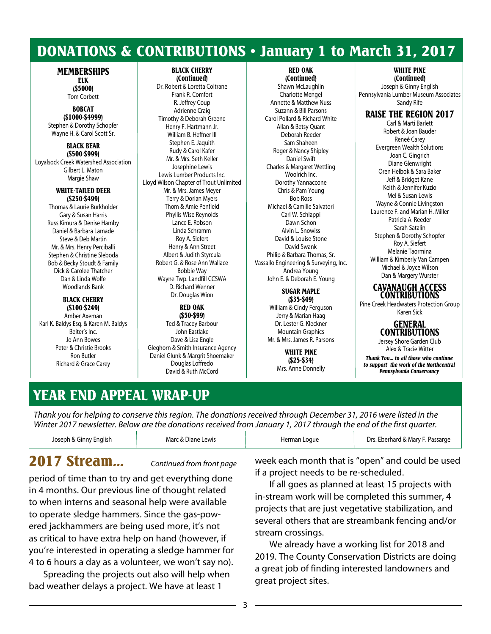### DONATIONS & CONTRIBUTIONS • January 1 to March 31, 2017

#### **MEMBERSHIPS** ELK

(\$5000)

Tom Corbett BOBCAT (\$1000-\$4999) Stephen & Dorothy Schopfer Wayne H. & Carol Scott Sr.

BLACK BEAR (\$500-\$999) Loyalsock Creek Watershed Association Gilbert L. Maton Margie Shaw

#### WHITE-TAILED DEER (\$250-\$499)

Thomas & Laurie Burkholder Gary & Susan Harris Russ Kimura & Denise Hamby Daniel & Barbara Lamade Steve & Deb Martin Mr. & Mrs. Henry Perciballi Stephen & Christine Sleboda Bob & Becky Stoudt & Family Dick & Carolee Thatcher Dan & Linda Wolfe Woodlands Bank

#### BLACK CHERRY (\$100-\$249)

Amber Axeman Karl K. Baldys Esq. & Karen M. Baldys Beiter's Inc. Jo Ann Bowes Peter & Christie Brooks Ron Butler Richard & Grace Carey

#### BLACK CHERRY (Continued)

Dr. Robert & Loretta Coltrane Frank R. Comfort R. Jeffrey Coup Adrienne Craig Timothy & Deborah Greene Henry F. Hartmann Jr. William B. Heffner III Stephen E. Jaquith Rudy & Carol Kafer Mr. & Mrs. Seth Keller Josephine Lewis Lewis Lumber Products Inc. Lloyd Wilson Chapter of Trout Unlimited Mr. & Mrs. James Meyer Terry & Dorian Myers Thom & Amie Penfield Phyllis Wise Reynolds Lance E. Robson Linda Schramm Roy A. Siefert Henry & Ann Street Albert & Judith Styrcula Robert G. & Rose Ann Wallace Bobbie Way Wayne Twp. Landfill CCSWA D. Richard Wenner Dr. Douglas Wion

#### RED OAK (\$50-\$99)

Ted & Tracey Barbour John Eastlake Dave & Lisa Engle Gleghorn & Smith Insurance Agency Daniel Glunk & Margrit Shoemaker Douglas Loffredo David & Ruth McCord

RED OAK

(Continued) Shawn McLaughlin Charlotte Mengel Annette & Matthew Nuss Suzann & Bill Parsons Carol Pollard & Richard White Allan & Betsy Quant Deborah Reeder Sam Shaheen Roger & Nancy Shipley Daniel Swift Charles & Margaret Wettling Woolrich Inc. Dorothy Yannaccone Chris & Pam Young Bob Ross Michael & Camille Salvatori Carl W. Schlappi Dawn Schon Alvin L. Snowiss David & Louise Stone David Swank Philip & Barbara Thomas, Sr. Vassallo Engineering & Surveying, Inc. Andrea Young John E. & Deborah E. Young

#### SUGAR MAPLE (\$35-\$49)

William & Cindy Ferguson Jerry & Marian Haag Dr. Lester G. Kleckner Mountain Graphics Mr. & Mrs. James R. Parsons

> WHITE PINE (\$25-\$34) Mrs. Anne Donnelly

WHITE PINE (Continued)

Joseph & Ginny English Pennsylvania Lumber Museum Associates Sandy Rife

### RAISE THE REGION 2017

Carl & Marti Barlett Robert & Joan Bauder Reneé Carey Evergreen Wealth Solutions Joan C. Gingrich Diane Glenwright Oren Helbok & Sara Baker Jeff & Bridget Kane Keith & Jennifer Kuzio Mel & Susan Lewis Wayne & Connie Livingston Laurence F. and Marian H. Miller Patricia A. Reeder Sarah Satalin Stephen & Dorothy Schopfer Roy A. Siefert Melanie Taormina William & Kimberly Van Campen Michael & Joyce Wilson Dan & Margery Wurster

#### CAVANAUGH ACCESS CONTRIBUTIONS

Pine Creek Headwaters Protection Group Karen Sick

### GENERAL CONTRIBUTIONS

Jersey Shore Garden Club Alex & Tracie Witter *Thank You... to all those who continue to support the work of the Northcentral Pennsylvania Conservancy*

# YEAR END APPEAL WRAP-UP

*Thank you for helping to conserve this region. The donations received through December 31, 2016 were listed in the Winter 2017 newsletter. Below are the donations received from January 1, 2017 through the end of the first quarter.*

| Joseph & Ginny English | Marc & Diane Lewis | Herman Loque | Drs. Eberhard & Mary F. Passarge |
|------------------------|--------------------|--------------|----------------------------------|
|                        |                    |              |                                  |

## 2017 Stream... *Continued from front page*

period of time than to try and get everything done in 4 months. Our previous line of thought related to when interns and seasonal help were available to operate sledge hammers. Since the gas-powered jackhammers are being used more, it's not as critical to have extra help on hand (however, if you're interested in operating a sledge hammer for 4 to 6 hours a day as a volunteer, we won't say no).

Spreading the projects out also will help when bad weather delays a project. We have at least 1

week each month that is "open" and could be used if a project needs to be re-scheduled.

If all goes as planned at least 15 projects with in-stream work will be completed this summer, 4 projects that are just vegetative stabilization, and several others that are streambank fencing and/or stream crossings.

We already have a working list for 2018 and 2019. The County Conservation Districts are doing a great job of finding interested landowners and great project sites.